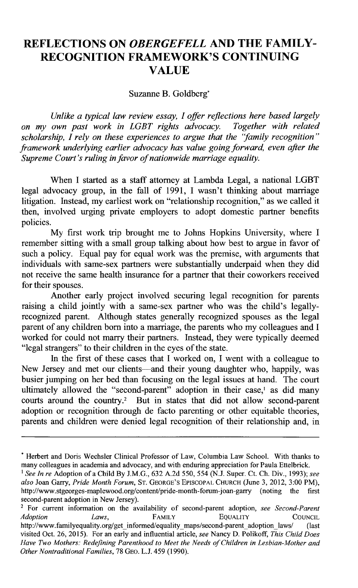## **REFLECTIONS ON** *OBERGEFELL* **AND THE FAMILY-RECOGNITION FRAMEWORK'S CONTINUING VALUE**

Suzanne B. Goldberg'

*Unlike a typical law review essay, I offer reflections here based largely on my own past work in LGBT rights advocacy. scholarship, I rely on these experiences to argue that the 'family recognition" framework underlying earlier advocacy has value going forward, even after the Supreme Court's ruling in favor of nationwide marriage equality.*

When I started as a staff attorney at Lambda Legal, a national LGBT legal advocacy group, in the fall of **1991,** I wasn't thinking about marriage litigation. Instead, my earliest work on "relationship recognition," as we called it then, involved urging private employers to adopt domestic partner benefits policies.

**My** first work trip brought me to Johns Hopkins University, where **I** remember sitting with a small group talking about how best to argue in favor of such a policy. Equal pay for equal work was the premise, with arguments that individuals with same-sex partners were substantially underpaid when they did not receive the same health insurance for a partner that their coworkers received for their spouses.

Another early project involved securing legal recognition for parents raising a child jointly with a same-sex partner who was the child's legallyrecognized parent. Although states generally recognized spouses as the legal parent of any children born into a marriage, the parents who my colleagues and **I** worked for could not marry their partners. Instead, they were typically deemed "legal strangers" to their children in the eyes of the state.

In the first of these cases that **I** worked on, **I** went with a colleague to New Jersey and met our clients-and their young daughter who, happily, was busier jumping on her bed than focusing on the legal issues at hand. The court ultimately allowed the "second-parent" adoption in their case,' as did many courts around the country.2 But in states that did not allow second-parent adoption or recognition through de facto parenting or other equitable theories, parents and children were denied legal recognition of their relationship and, in

**<sup>\*</sup>** Herbert and Doris Wechsler Clinical Professor of Law, Columbia Law School. With thanks to many colleagues in academia and advocacy, and with enduring appreciation for Paula Ettelbrick.

*<sup>&#</sup>x27;See In re* Adoption of a Child **By J.M.G., 632 A.2d** *550, 554* **(N.J.** Super. Ct. **Ch.** Div., **1993);** *see also* Joan Garry, *Pride Month Forum,* **ST.** GEORGE'S **EPISCOPAL** CHURCH (June **3,** 2012, **3:00** PM), http://www.stgeorges-maplewood.org/content/pride-month-forum-joan-garry (noting second-parent adoption in New Jersey).

<sup>2</sup>For current information on the availability of second-parent adoption, *see Second-Parent Adoption Laws,* FAMILY **EQUALITY COUNCIL** http://www.familyequality.org/get informed/equality maps/second-parent adoption laws/ (last visited Oct. **26, 2015).** For an early and influential article, *see* Nancy **D.** Polikoff, *This Child Does Have Two Mothers: Redefining Parenthood to Meet the Needs of Children in Lesbian-Mother and Other Nontraditional Families,* **78 GEO. L.J.** 459 **(1990).**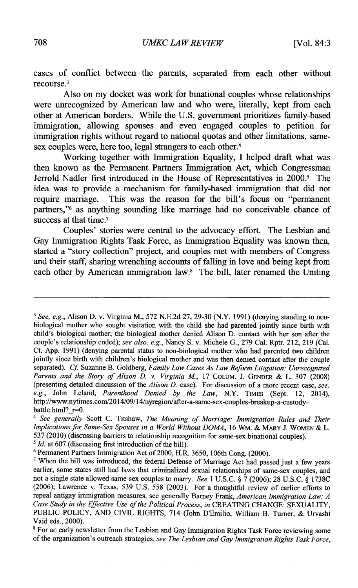cases of conflict between the parents, separated from each other without recourse.<sup>3</sup>

Also on my docket was work for binational couples whose relationships were unrecognized **by** American law and who were, literally, kept from each other at American borders. While the **U.S.** government prioritizes family-based immigration, allowing spouses and even engaged couples to petition for immigration rights without regard to national quotas and other limitations, samesex couples were, here too, legal strangers to each other.<sup>4</sup>

Working together with Immigration Equality, **I helped** draft what was then known as the Permanent Partners Immigration Act, which Congressman Jerrold Nadler first introduced in the House of Representatives in 2000.<sup>5</sup> The idea was to provide a mechanism for family-based immigration that did not require marriage. This was the reason for the bill's focus on "permanent partners," as anything sounding like marriage had no conceivable chance of success at that time.<sup>7</sup>

Couples' stories were central to the advocacy effort. The Lesbian and Gay Immigration Rights Task Force, as Immigration Equality was known then, started a "story collection" project, and couples met with members of Congress and their staff, sharing wrenching accounts of falling in love and being kept from each other **by** American immigration law.' The bill, later renamed the Uniting

<sup>3</sup> *See, e.g.,* Alison **D.** v. Virginia M., **572 N.E.2d 27, 29-30** (N.Y. **1991)** (denying standing to nonbiological mother who sought visitation with the child she had parented jointly since birth with child's biological mother; the biological mother denied Alison **D.** contact with her son after the couple's relationship ended); *see also, e.g.,* Nancy **S.** v. Michele **G., 279** Cal. Rptr. 212, **219** (Cal. Ct. **App. 1991)** (denying parental status to non-biological mother who had parented two children jointly since birth with children's biological mother and was then denied contact after the couple separated). *Cf* Suzanne B. Goldberg, *Family Law Cases As Law Reform Litigation: Unrecognized Parents and the Story of Alison D. v. Virginia M.,* **17** COLUM. **J. GENDER** *&* L. **307 (2008)** (presenting detailed discussion of the *Alison D.* case). For discussion of a more recent case, *see, e.g.,* John Leland, *Parenthood Denied by the Law,* N.Y. TIMES (Sept. 12, 2014), http://www.nytimes.com/2014/09/14/nyregion/after-a-same-sex-couples-breakup-a-custodybattle.html? $r=0$ .

<sup>4</sup> *See generally* Scott **C.** Titshaw, *The Meaning of Marriage: Immigration Rules and Their Implications for Same-Sex Spouses in a World Without DOMA,* **16** WM. *&* MARY **J.** WOMEN *&* L. **537** (2010) (discussing barriers to relationship recognition for same-sex binational couples).

s *Id.* at **607** (discussing first introduction of the bill).

**<sup>6</sup>** Permanent Partners Immigration Act of 2000, H.R. **3650,** 106th Cong. (2000).

**<sup>&#</sup>x27;** When the bill was introduced, the federal Defense of Marriage Act had passed just a few years earlier, some states still had laws that criminalized sexual relationships of same-sex couples, and not a single state allowed same-sex couples to marry. *See* 1 **U.S.C. § 7 (2006); 28 U.S.C. § 1738C (2006);** Lawrence v. Texas, **539 U.S.** *558* **(2003).** For a thoughtful review of earlier efforts to repeal antigay immigration measures, see generally Barney Frank, *American Immigration Law: A Case Study in the Effective Use of the Political Process, in* **CREATING CHANGE:** SEXUALITY, **PUBLIC** POLICY, **AND** CIVIL RIGHTS, 714 (John D'Emilio, William B. Turner, *&* Urvashi Vaid eds., 2000).

<sup>&</sup>lt;sup>8</sup> For an early newsletter from the Lesbian and Gay Immigration Rights Task Force reviewing some of the organization's outreach strategies, *see The Lesbian and Gay Immigration Rights Task Force,*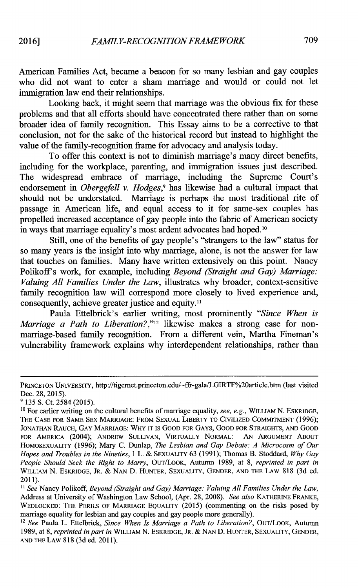American Families Act, became a beacon for so many lesbian and gay couples who did not want to enter a sham marriage and would or could not let immigration law end their relationships.

Looking back, it might seem that marriage was the obvious fix for these problems and that all efforts should have concentrated there rather than on some broader idea of family recognition. This Essay aims to be a corrective to that conclusion, not for the sake of the historical record but instead to highlight the value of the family-recognition frame for advocacy and analysis today.

To offer this context is not to diminish marriage's many direct benefits, including for the workplace, parenting, and immigration issues just described. The widespread embrace of marriage, including the Supreme Court's endorsement in *Obergefell v. Hodges,'* has likewise had a cultural impact that should not be understated. Marriage is perhaps the most traditional rite of passage in American life, and equal access to it for same-sex couples has propelled increased acceptance of gay people into the fabric of American society in ways that marriage equality's most ardent advocates had hoped.<sup>10</sup>

Still, one of the benefits of gay people's "strangers to the law" status for so many years is the insight into why marriage, alone, is not the answer for law that touches on families. Many have written extensively on this point. Nancy Polikoff's work, for example, including *Beyond (Straight and Gay) Marriage: Valuing All Families Under the Law,* illustrates why broader, context-sensitive family recognition law will correspond more closely to lived experience and, consequently, achieve greater justice and equity.<sup>11</sup>

Paula Ettelbrick's earlier writing, most prominently *"Since When is Marriage a Path to Liberation?,"12* likewise makes a strong case for nonmarriage-based family recognition. From a different vein, Martha Fineman's vulnerability framework explains why interdependent relationships, rather than

**PRINCETON UNIVERSITY,** http://tigernet.princeton.edu/-ffr-gala/LGIRTF%20article.htm (last visited Dec. **28, 2015).**

**<sup>9 135</sup> S.** Ct. 2584 **(2015).**

**<sup>10</sup>**For earlier writing on the cultural benefits of marriage equality, see, e.g., **WILLIAM N.** ESKRIDGE, THE **CASE FOR SAME SEX MARRIAGE: FROM** SEXUAL LIBERTY TO CIVILIZED **COMMITMENT (1996); JONATHAN** RAUCH, GAY MARRIAGE: **WHY IT IS GOOD FOR GAYS, GOOD FOR STRAIGHTS, AND GOOD** FOR AMERICA (2004); ANDREW **SULLIVAN,** VIRTUALLY NORMAL: **AN ARGUMENT ABOUT** HOMOSEXUALITY **(1996);** Mary **C.** Dunlap, *The Lesbian and Gay Debate: A Microcosm of Our Hopes and Troubles in the Nineties, I* L. **& SEXUALITY 63 (1991);** Thomas B. Stoddard, *Why Gay People Should Seek the Right to Marry,* OUT/LOOK, Autumn **1989,** at **8,** *reprinted in part in* WILLIAM **N.** ESKRIDGE, JR. **& NAN D. HUNTER,** SEXUALITY, **GENDER, AND** THE LAW **818 (3d** ed. 2011).

*<sup>&</sup>quot; See* Nancy Polikoff, *Beyond (Straight and Gay) Marriage: Valuing All Families Under the Law,* Address at University of Washington Law School, (Apr. **28, 2008).** *See also* KATHERINE FRANKE, **WEDLOCKED: THE PERILS OF MARRIAGE** EQUALITY **(2015)** (commenting on the risks posed **by** marriage equality for lesbian and gay couples and gay people more generally).

<sup>12</sup>*See* Paula L. Ettelbrick, *Since When Is Marriage a Path to Liberation?,* OUT/LOOK, Autumn **1989,** at **8,** *reprinted in part in* WILLIAM **N.** ESKRIDGE, JR. **& NAN D. HUNTER, SEXUALITY, GENDER, AND** THE LAW **818 (3d** ed. **2011).**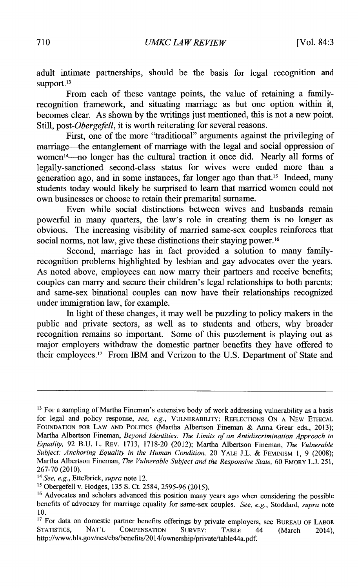adult intimate partnerships, should be the basis for legal recognition and support.<sup>13</sup>

From each of these vantage points, the value of retaining a familyrecognition framework, and situating marriage as but one option within it, becomes clear. As shown **by** the writings just mentioned, this is not a new point. *Still, post-Obergefell,* it is worth reiterating for several reasons.

First, one of the more "traditional" arguments against the privileging of marriage-the entanglement of marriage with the legal and social oppression of women<sup>14</sup>—no longer has the cultural traction it once did. Nearly all forms of legally-sanctioned second-class status for wives were ended more than a generation ago, and in some instances, far longer ago than that." Indeed, many students today would likely be surprised to learn that married women could not own businesses or choose to retain their premarital surname.

Even while social distinctions between wives and husbands remain powerful in many quarters, the law's role in creating them is no longer as obvious. The increasing visibility of married same-sex couples reinforces that social norms, not law, give these distinctions their staying power.<sup>16</sup>

Second, marriage has in fact provided a solution to many familyrecognition problems highlighted **by** lesbian and gay advocates over the years. As noted above, employees can now marry their partners and receive benefits; couples can marry and secure their children's legal relationships to both parents; and same-sex binational couples can now have their relationships recognized under immigration law, for example.

In light of these changes, it may well be puzzling to policy makers in the public and private sectors, as well as to students and others, why broader recognition remains so important. Some of this puzzlement is playing out as major employers withdraw the domestic partner benefits they have offered to their employees.<sup>17</sup> From IBM and Verizon to the U.S. Department of State and

<sup>&</sup>lt;sup>13</sup> For a sampling of Martha Fineman's extensive body of work addressing vulnerability as a basis for legal and policy response, *see, e.g.,* VULNERABILITY: **REFLECTIONS ON A** NEW **ETHICAL FOUNDATION** FOR LAW **AND POLITICS** (Martha Albertson Fineman **&** Anna Grear eds., **2013);** Martha Albertson Fineman, *Beyond Identities: The Limits of an Antidiscrimination Approach to Equality,* **92 B.U.** L. REv. **1713, 1718-20** (2012); Martha Albertson Fineman, *The Vulnerable Subject: Anchoring Equality in the Human Condition,* 20 YALE **J.L. &** FEMINISM **1, 9 (2008);** Martha Albertson Fineman, *The Vulnerable Subject and the Responsive State,* **60** EMORY **L.J. 251, 267-70** (2010).

<sup>14</sup>*See, e.g., Ettelbrick, supra* note 12.

**<sup>11</sup>**Obergefell v. Hodges, **135 S.** Ct. 2584, **2595-96 (2015).**

<sup>&</sup>lt;sup>16</sup> Advocates and scholars advanced this position many years ago when considering the possible benefits of advocacy for marriage equality for same-sex couples. *See, e.g., Stoddard, supra* note **10.**

<sup>&</sup>lt;sup>17</sup> For data on domestic partner benefits offerings by private employers, see BUREAU OF LABOR<br>STATISTICS, NAT'L COMPENSATION SURVEY: TABLE 44 (March 2014). COMPENSATION SURVEY: TABLE 44 (March 2014), http://www.bls.gov/ncs/ebs/benefits/2014/ownership/private/table44a.pdf.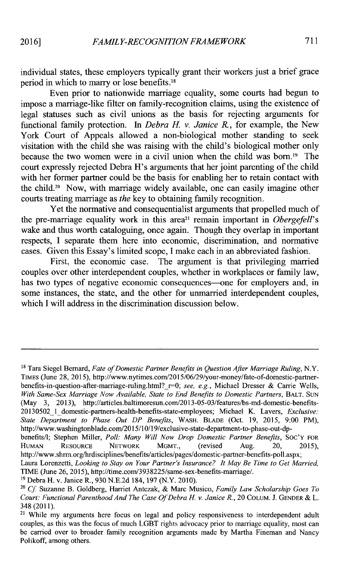individual states, these employers typically grant their workers just a brief grace period in which to marry or lose benefits.<sup>18</sup>

Even prior to nationwide marriage equality, some courts had begun to impose a marriage-like filter on family-recognition claims, using the existence of legal statuses such as civil unions as the basis for rejecting arguments for functional family protection. In *Debra H. v. Janice R,* for example, the New York Court of Appeals allowed a non-biological mother standing to seek visitation with the child she was raising with the child's biological mother only because the two women were in a civil union when the child was born.<sup>19</sup> The court expressly rejected Debra H's arguments that her joint parenting of the child with her former partner could be the basis for enabling her to retain contact with the child.<sup>20</sup> Now, with marriage widely available, one can easily imagine other courts treating marriage as *the* key to obtaining family recognition.

Yet the normative and consequentialist arguments that propelled much of the pre-marriage equality work in this area<sup>21</sup> remain important in *Obergefell's* wake and thus worth cataloguing, once again. Though they overlap in important respects, **I** separate them here into economic, discrimination, and normative cases. Given this Essay's limited scope, **I** make each in an abbreviated fashion.

First, the economic case. The argument is that privileging married couples over other interdependent couples, whether in workplaces or family law, has two types of negative economic consequences—one for employers and, in some instances, the state, and the other for unmarried interdependent couples, which **I** will address in the discrimination discussion below.

**<sup>18</sup>**Tara Siegel Bernard, *Fate of Domestic Partner Benefits in Question After Marriage Ruling,* N.Y. **TIMES** (June **28, 2015),** http://www.nytimes.com/2015/06/29/your-money/fate-of-domestic-partnerbenefits-in-question-after-marriage-ruling.html?\_r-0; *see, e.g.,* Michael Dresser **&** Carrie Wells, With Same-Sex Marriage Now Available, State to End Benefits to Domestic Partners, BALT. SUN (May **3, 2013),** http://articles.baltimoresun.com/2013-05-03/features/bs-md-domestic-benefits-20130502\_1\_domestic-partners-health-benefits-state-employees; Michael K. Lavers, *Exclusive: State Department to Phase Out DP Benefits,* WASH. BLADE (Oct. **19, 2015, 9:00** PM), http://www.washingtonblade.com/2015/10/19/exclusive-state-department-to-phase-out-dp-

benefits/I; Stephen Miller, *Poll: Many Will Now Drop Domestic Partner Benefits,* **Soc'Y** FOR HUMAN RESOURCE NETWORK MGMT., (revised Aug. 20, **2015),** http://www.shrm.org/hrdisciplines/benefits/articles/pages/domestic-partner-benefits-poll.asp

Laura Lorenzetti, *Looking to Stay on Your Partner's Insurance? It May Be Time to Get Married,* **TIME** (June **26, 2015),** http://time.com/3938225/same-sex-benefits-marriage/.

**<sup>&</sup>quot;** Debra H. v. Janice R., **930 N.E.2d** 184, **197** (N.Y. **2010).**

*<sup>20</sup>Cf* Suzanne B. Goldberg, Harriet Antczak, **&** Marc Musico, *Family Law Scholarship Goes To Court: Functional Parenthood And The Case Of Debra H. v. Janice R.,* 20 **COLUM. J. GENDER &** L. 348 (2011).

**<sup>21</sup>**While my arguments here focus on legal and policy responsiveness to interdependent adult couples, as this was the focus of much LGBT rights advocacy prior to marriage equality, most can be carried over to broader family recognition arguments made **by** Martha Fineman and Nancy Polikoff, among others.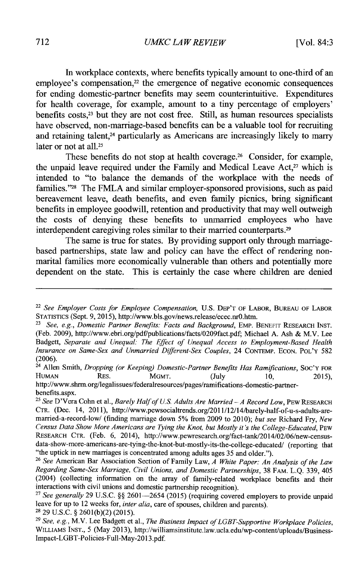In workplace contexts, where benefits typically amount to one-third of an employee's compensation, $22$  the emergence of negative economic consequences for ending domestic-partner benefits may seem counterintuitive. Expenditures for health coverage, for example, amount to a tiny percentage of employers' benefits  $costs<sub>1</sub><sup>23</sup>$  but they are not cost free. Still, as human resources specialists have observed, non-marriage-based benefits can be a valuable tool for recruiting and retaining talent,<sup>24</sup> particularly as Americans are increasingly likely to marry later or not at all.<sup>25</sup>

These benefits do not stop at health coverage.<sup>26</sup> Consider, for example, the unpaid leave required under the Family and Medical Leave Act, $27$  which is intended to "to balance the demands of the workplace with the needs of families."<sup>28</sup> The FMLA and similar employer-sponsored provisions, such as paid bereavement leave, death benefits, and even family picnics, bring significant benefits in employee goodwill, retention and productivity that may well outweigh the costs of denying these benefits to unmarried employees who have interdependent caregiving roles similar to their married counterparts.<sup>29</sup>

The same is true for states. **By** providing support only through marriagebased partnerships, state law and policy can have the effect of rendering nonmarital families more economically vulnerable than others and potentially more dependent on the state. This is certainly the case where children are denied

<sup>22</sup>*See Employer Costs for Employee Compensation,* **U.S. DEP'T OF LABOR, BUREAU OF LABOR STATISTICS** (Sept. **9, 2015),** http://www.bls.gov/news.release/ecec.nr0.htm.

<sup>23</sup>*See, e.g., Domestic Partner Benefits: Facts and Background,* **EMP. BENEFIT RESEARCH INST.** (Feb. **2009),** http://www.ebri.org/pdf/publications/facts/0209fact.pdf; Michael **A.** Ash **&** M.V. Lee *Badgett, Separate and Unequal: The Effect of Unequal Access to Employment-Based Health Insurance on Same-Sex and Unmarried Different-Sex Couples,* 24 **CONTEMP. ECON. POL'Y 582 (2006).**

<sup>&</sup>lt;sup>24</sup> Allen Smith, *Dropping (or Keeping) Domestic-Partner Benefits Has Ramifications*, Soc'y FOR<br>HUMAN **RES.** MGMT. (July 10. 2015). **HUMAN RES. MGMT. (July 10, 2015),**

http://www.shrm.org/legalissues/federalresources/pages/ramifications-domestic-partnerbenefits.aspx.

*<sup>25</sup>See* D'Vera Cohn et al., *Barely Half of U.S. Adults Are Married - <sup>A</sup>Record Low,* **PEW RESEARCH CTR.** (Dec. 14, **2011),** http://www.pewsocialtrends.org/2011/12/14/barely-half-of-u-s-adults-aremarried-a-record-low/ (finding marriage down *5%* from **2009** to 2010); *but see* Richard Fry, *New Census Data Show More Americans are Tying the Knot, but Mostly it's the College-Educated, PEW* **RESEARCH CTR.** (Feb. **6,** 2014), http://www.pewresearch.org/fact-tank/2014/02/06/new-censusdata-show-more-americans-are-tying-the-knot-but-mostly-its-the-college-educated/ (reporting that "the uptick in new marriages is concentrated among adults ages **35** and older.").

<sup>26</sup>*See* American Bar Association Section of Family Law, *A White Paper: An Analysis of the Law Regarding Same-Sex Marriage, Civil Unions, and Domestic Partnerships,* **38 FAM. L.Q. 339,** 405 (2004) (collecting information on **the array of family-related workplace benefits and their** interactions with civil unions and domestic partnership recognition).

<sup>27</sup>*See generally* **29 U.S.C. §§ 2601-2654 (2015)** (requiring covered employers to provide unpaid leave for up to 12 weeks for, *inter alia,* care of spouses, children and parents). **<sup>28</sup>29 U.S.C. § 2601(b)(2)** *(2015).*

**<sup>29</sup>***See, e.g.,* M.V. Lee Badgett et al., *The Business Impact of LGBT-Supportive Workplace Policies,* **WILLIAMS INST., 5** (May **2013),** http://williamsinstitute.law.ucla.edu/wp-content/uploads/Business-Impact-LGBT-Policies-Full-May-2013.pdf.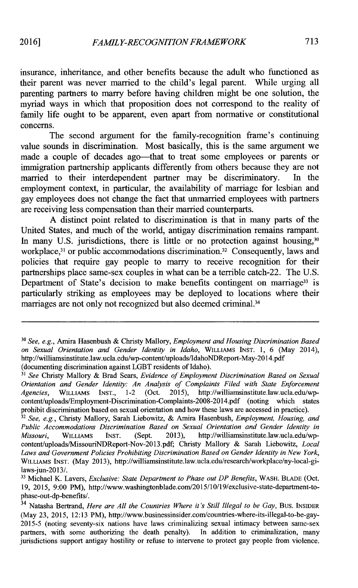insurance, inheritance, and other benefits because the adult who functioned as their parent was never married to the child's legal parent. While urging all parenting partners to marry before having children might be one solution, the myriad ways in which that proposition does not correspond to the reality of family life ought to be apparent, even apart from normative or constitutional concerns.

The second argument for the family-recognition frame's continuing value sounds in discrimination. Most basically, this is the same argument we made a couple of decades ago-that to treat some employees or parents or immigration partnership applicants differently from others because they are not married to their interdependent partner may be discriminatory. In the employment context, in particular, the availability of marriage for lesbian and gay employees does not change the fact that unmarried employees with partners are receiving less compensation than their married counterparts.

**A** distinct point related to discrimination is that in many parts of the United States, and much of the world, antigay discrimination remains rampant. In many U.S. jurisdictions, there is little or no protection against housing,<sup>30</sup> workplace,<sup>31</sup> or public accommodations discrimination.<sup>32</sup> Consequently, laws and policies that require gay people to marry to receive recognition for their partnerships place same-sex couples in what can be a terrible catch-22. The **U.S.** Department of State's decision to make benefits contingent on marriage<sup>33</sup> is particularly striking as employees may be deployed to locations where their marriages are not only not recognized but also deemed criminal. <sup>34</sup>

*<sup>30</sup>See, e.g.,* Amira Hasenbush **&** Christy Mallory, *Employment and Housing Discrimination Based on Sexual Orientation and Gender Identity in Idaho,* WILLIAMS **INST. 1, 6** (May 2014), http://williamsinstitute.law.ucla.edu/wp-content/uploads/IdahoNDReport-May-2014.pdf (documenting discrimination against LGBT residents of Idaho).

**<sup>3</sup>** *See* Christy Mallory **&** Brad Sears, *Evidence of Employment Discrimination Based on Sexual Orientation and Gender Identity: An Analysis of Complaints Filed with State Enforcement*<br>Agencies. WILLIAMS INST., 1-2 (Oct. 2015). http://williamsinstitute.law.ucla.edu/wp-*Agencies,* WILLIAMS **INST.,** 1-2 (Oct. **2015),** http://williamsinstitute.law.ucla.edu/wpcontent/uploads/Employment-Discrimination-Complaints-2008-2014.pdf (noting which states prohibit discrimination based on sexual orientation and how these laws are accessed in practice).

**<sup>32</sup>***See, e.g.,* Christy Mallory, Sarah Liebowitz, **&** Amira Hasenbush, *Employment, Housing, and Public Accommodations Discrimination Based on Sexual Orientation and Gender Identity in Missouri,* WILLIAMS **INST.** (Sept. **2013),** http://williamsinstitute.law.ucla.edu/wpcontent/uploads/MissouriNDReport-Nov-2013.pdf; Christy Mallory **&** Sarah Liebowitz, *Local Laws and Government Policies Prohibiting Discrimination Based on Gender Identity in New York,* WILLIAMS **INST.** (May **2013),** http://williamsinstitute.law.ucla.edu/research/workplace/ny-local-gilaws-jun-2013/.

**<sup>33</sup>**Michael K. Lavers, *Exclusive: State Department to Phase out DP Benefits,* WASH. BLADE (Oct. **19, 2015, 9:00** PM), http://www.washingtonblade.com/2015/10/19/exclusive-state-department-tophase-out-dp-benefits/.

<sup>34</sup>Natasha Bertrand, *Here are All the Countries Where it's Still Illegal to be Gay,* **Bus. INSIDER** (May **23, 2015, 12:13** PM), http://www.businessinsider.com/countries-where-its-illegal-to-be-gay-**2015-5** (noting seventy-six nations have laws criminalizing sexual intimacy between same-sex partners, with some authorizing the death penalty). In addition to criminalization, many jurisdictions support antigay hostility or refuse to intervene to protect gay people from violence.